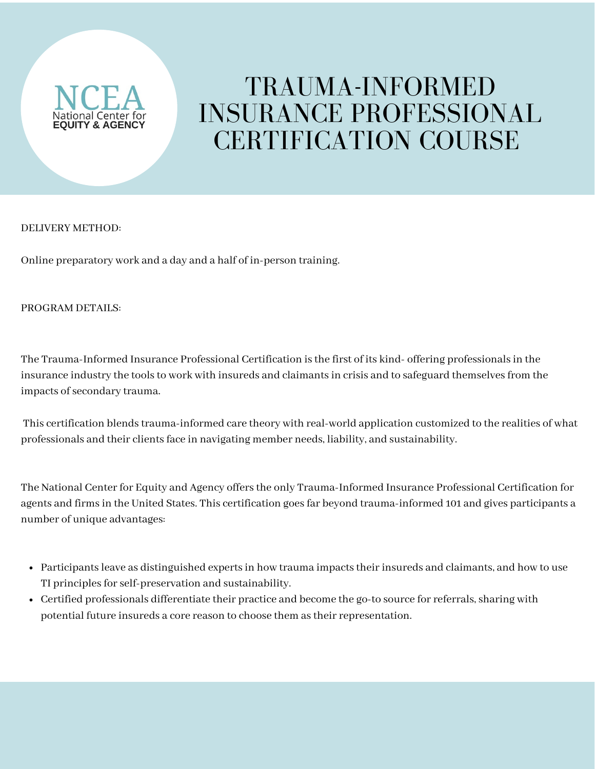

## TRAUMA-INFORMED INSURANCE PROFESSIONAL CERTIFICATION COURSE

## DELIVERY METHOD:

Online preparatory work and a day and a half of in-person training.

## PROGRAM DETAILS:

The Trauma-Informed Insurance Professional Certification is the first of its kind- offering professionals in the insurance industry the tools to work with insureds and claimants in crisis and to safeguard themselves from the impacts of secondary trauma.

This certification blendstrauma-informed care theory with real-world application customized to the realities of what professionals and their clientsface in navigating member needs, liability, and sustainability.

The National Center for Equity and Agency offers the only Trauma-Informed Insurance Professional Certification for agents and firms in the United States. This certification goes far beyond trauma-informed 101 and gives participants a number of unique advantages:

- Participants leave as distinguished experts in how trauma impacts their insureds and claimants, and how to use TI principles for self-preservation and sustainability.
- Certified professionals differentiate their practice and become the go-to source for referrals, sharing with potential future insureds a core reason to choose them as their representation.